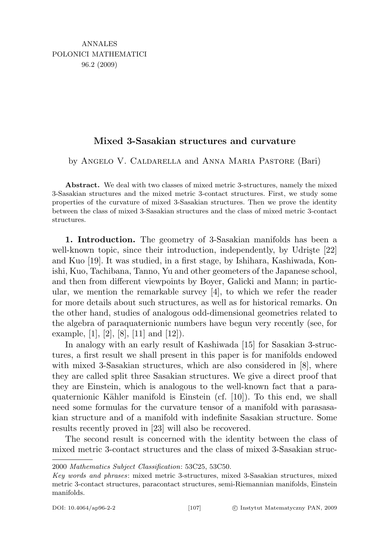## Mixed 3-Sasakian structures and curvature

by Angelo V. Caldarella and Anna Maria Pastore (Bari)

Abstract. We deal with two classes of mixed metric 3-structures, namely the mixed 3-Sasakian structures and the mixed metric 3-contact structures. First, we study some properties of the curvature of mixed 3-Sasakian structures. Then we prove the identity between the class of mixed 3-Sasakian structures and the class of mixed metric 3-contact structures.

1. Introduction. The geometry of 3-Sasakian manifolds has been a well-known topic, since their introduction, independently, by Udriste [22] and Kuo [19]. It was studied, in a first stage, by Ishihara, Kashiwada, Konishi, Kuo, Tachibana, Tanno, Yu and other geometers of the Japanese school, and then from different viewpoints by Boyer, Galicki and Mann; in particular, we mention the remarkable survey [4], to which we refer the reader for more details about such structures, as well as for historical remarks. On the other hand, studies of analogous odd-dimensional geometries related to the algebra of paraquaternionic numbers have begun very recently (see, for example,  $[1]$ ,  $[2]$ ,  $[8]$ ,  $[11]$  and  $[12]$ ).

In analogy with an early result of Kashiwada [15] for Sasakian 3-structures, a first result we shall present in this paper is for manifolds endowed with mixed 3-Sasakian structures, which are also considered in [8], where they are called split three Sasakian structures. We give a direct proof that they are Einstein, which is analogous to the well-known fact that a paraquaternionic Kähler manifold is Einstein (cf. [10]). To this end, we shall need some formulas for the curvature tensor of a manifold with parasasakian structure and of a manifold with indefinite Sasakian structure. Some results recently proved in [23] will also be recovered.

The second result is concerned with the identity between the class of mixed metric 3-contact structures and the class of mixed 3-Sasakian struc-

<sup>2000</sup> Mathematics Subject Classification: 53C25, 53C50.

Key words and phrases: mixed metric 3-structures, mixed 3-Sasakian structures, mixed metric 3-contact structures, paracontact structures, semi-Riemannian manifolds, Einstein manifolds.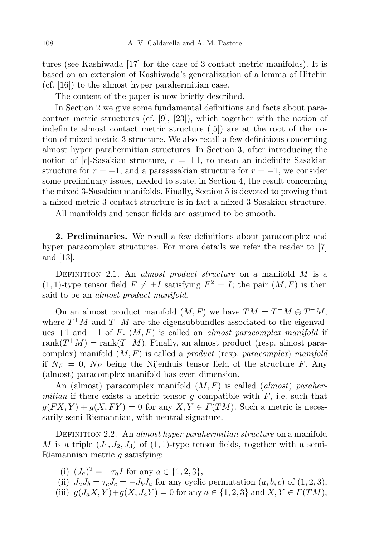tures (see Kashiwada [17] for the case of 3-contact metric manifolds). It is based on an extension of Kashiwada's generalization of a lemma of Hitchin (cf. [16]) to the almost hyper parahermitian case.

The content of the paper is now briefly described.

In Section 2 we give some fundamental definitions and facts about paracontact metric structures (cf. [9], [23]), which together with the notion of indefinite almost contact metric structure ([5]) are at the root of the notion of mixed metric 3-structure. We also recall a few definitions concerning almost hyper parahermitian structures. In Section 3, after introducing the notion of  $[r]$ -Sasakian structure,  $r = \pm 1$ , to mean an indefinite Sasakian structure for  $r = +1$ , and a parasasakian structure for  $r = -1$ , we consider some preliminary issues, needed to state, in Section 4, the result concerning the mixed 3-Sasakian manifolds. Finally, Section 5 is devoted to proving that a mixed metric 3-contact structure is in fact a mixed 3-Sasakian structure.

All manifolds and tensor fields are assumed to be smooth.

2. Preliminaries. We recall a few definitions about paracomplex and hyper paracomplex structures. For more details we refer the reader to [7] and [13].

DEFINITION 2.1. An almost product structure on a manifold  $M$  is a  $(1, 1)$ -type tensor field  $F \neq \pm I$  satisfying  $F^2 = I$ ; the pair  $(M, F)$  is then said to be an *almost product manifold*.

On an almost product manifold  $(M, F)$  we have  $TM = T^+M \oplus T^-M$ , where  $T^+M$  and  $T^-M$  are the eigensubbundles associated to the eigenvalues +1 and  $-1$  of F.  $(M, F)$  is called an *almost paracomplex manifold* if rank $(T^+M)$  = rank $(T^-M)$ . Finally, an almost product (resp. almost paracomplex) manifold  $(M, F)$  is called a *product* (resp. *paracomplex*) manifold if  $N_F = 0$ ,  $N_F$  being the Nijenhuis tensor field of the structure F. Any (almost) paracomplex manifold has even dimension.

An (almost) paracomplex manifold  $(M, F)$  is called (almost) parahermitian if there exists a metric tensor g compatible with  $F$ , i.e. such that  $g(FX, Y) + g(X, FY) = 0$  for any  $X, Y \in \Gamma(TM)$ . Such a metric is necessarily semi-Riemannian, with neutral signature.

DEFINITION 2.2. An almost hyper parahermitian structure on a manifold M is a triple  $(J_1, J_2, J_3)$  of  $(1, 1)$ -type tensor fields, together with a semi-Riemannian metric g satisfying:

- (i)  $(J_a)^2 = -\tau_a I$  for any  $a \in \{1, 2, 3\},\$
- (ii)  $J_a J_b = \tau_c J_c = -J_b J_a$  for any cyclic permutation  $(a, b, c)$  of  $(1, 2, 3)$ ,
- (iii)  $g(J_aX, Y) + g(X, J_aY) = 0$  for any  $a \in \{1, 2, 3\}$  and  $X, Y \in \Gamma(TM)$ ,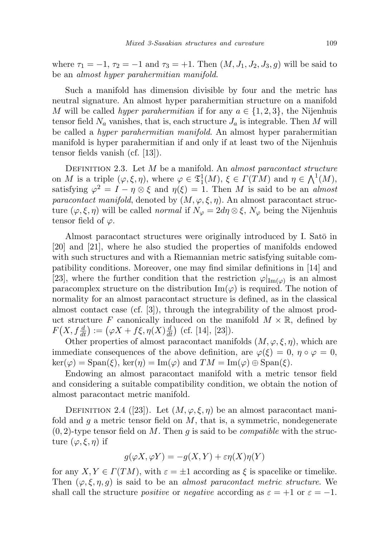where  $\tau_1 = -1$ ,  $\tau_2 = -1$  and  $\tau_3 = +1$ . Then  $(M, J_1, J_2, J_3, g)$  will be said to be an almost hyper parahermitian manifold.

Such a manifold has dimension divisible by four and the metric has neutral signature. An almost hyper parahermitian structure on a manifold M will be called *hyper parahermitian* if for any  $a \in \{1, 2, 3\}$ , the Nijenhuis tensor field  $N_a$  vanishes, that is, each structure  $J_a$  is integrable. Then M will be called a hyper parahermitian manifold. An almost hyper parahermitian manifold is hyper parahermitian if and only if at least two of the Nijenhuis tensor fields vanish (cf. [13]).

DEFINITION 2.3. Let  $M$  be a manifold. An *almost paracontact structure* on M is a triple  $(\varphi, \xi, \eta)$ , where  $\varphi \in \mathfrak{T}_1^1(M)$ ,  $\xi \in \Gamma(TM)$  and  $\eta \in \bigwedge^1(M)$ , satisfying  $\varphi^2 = I - \eta \otimes \xi$  and  $\eta(\xi) = 1$ . Then M is said to be an almost paracontact manifold, denoted by  $(M, \varphi, \xi, \eta)$ . An almost paracontact structure  $(\varphi, \xi, \eta)$  will be called *normal* if  $N_{\varphi} = 2d\eta \otimes \xi$ ,  $N_{\varphi}$  being the Nijenhuis tensor field of  $\varphi$ .

Almost paracontact structures were originally introduced by I. Satō in [20] and [21], where he also studied the properties of manifolds endowed with such structures and with a Riemannian metric satisfying suitable compatibility conditions. Moreover, one may find similar definitions in [14] and [23], where the further condition that the restriction  $\varphi|_{\text{Im}(\varphi)}$  is an almost paracomplex structure on the distribution  $\text{Im}(\varphi)$  is required. The notion of normality for an almost paracontact structure is defined, as in the classical almost contact case (cf. [3]), through the integrability of the almost product structure F canonically induced on the manifold  $M \times \mathbb{R}$ , defined by  $F(X, f\frac{d}{dt}) := (\varphi X + f\xi, \eta(X)\frac{d}{dt})$  (cf. [14], [23]).

Other properties of almost paracontact manifolds  $(M, \varphi, \xi, \eta)$ , which are immediate consequences of the above definition, are  $\varphi(\xi) = 0$ ,  $\eta \circ \varphi = 0$ ,  $\ker(\varphi) = \text{Span}(\xi)$ ,  $\ker(\eta) = \text{Im}(\varphi)$  and  $TM = \text{Im}(\varphi) \oplus \text{Span}(\xi)$ .

Endowing an almost paracontact manifold with a metric tensor field and considering a suitable compatibility condition, we obtain the notion of almost paracontact metric manifold.

DEFINITION 2.4 ([23]). Let  $(M, \varphi, \xi, \eta)$  be an almost paracontact manifold and g a metric tensor field on  $M$ , that is, a symmetric, nondegenerate  $(0, 2)$ -type tensor field on M. Then g is said to be *compatible* with the structure  $(\varphi, \xi, \eta)$  if

$$
g(\varphi X, \varphi Y) = -g(X, Y) + \varepsilon \eta(X)\eta(Y)
$$

for any  $X, Y \in \Gamma(TM)$ , with  $\varepsilon = \pm 1$  according as  $\xi$  is spacelike or timelike. Then  $(\varphi, \xi, \eta, g)$  is said to be an *almost paracontact metric structure*. We shall call the structure *positive* or *negative* according as  $\varepsilon = +1$  or  $\varepsilon = -1$ .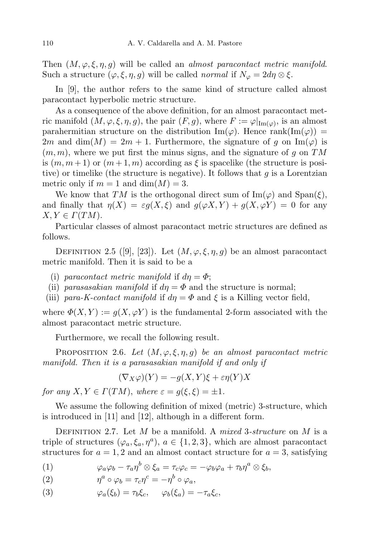Then  $(M, \varphi, \xi, \eta, q)$  will be called an *almost paracontact metric manifold*. Such a structure  $(\varphi, \xi, \eta, g)$  will be called *normal* if  $N_{\varphi} = 2d\eta \otimes \xi$ .

In [9], the author refers to the same kind of structure called almost paracontact hyperbolic metric structure.

As a consequence of the above definition, for an almost paracontact metric manifold  $(M, \varphi, \xi, \eta, g)$ , the pair  $(F, g)$ , where  $F := \varphi|_{\text{Im}(\varphi)}$ , is an almost parahermitian structure on the distribution  $\text{Im}(\varphi)$ . Hence  $\text{rank}(\text{Im}(\varphi))$  = 2m and dim(M) = 2m + 1. Furthermore, the signature of g on  $\text{Im}(\varphi)$  is  $(m, m)$ , where we put first the minus signs, and the signature of g on TM is  $(m, m+1)$  or  $(m+1, m)$  according as  $\xi$  is spacelike (the structure is positive) or timelike (the structure is negative). It follows that  $g$  is a Lorentzian metric only if  $m = 1$  and  $\dim(M) = 3$ .

We know that TM is the orthogonal direct sum of  $\text{Im}(\varphi)$  and  $\text{Span}(\xi)$ , and finally that  $\eta(X) = \varepsilon g(X, \xi)$  and  $g(\varphi X, Y) + g(X, \varphi Y) = 0$  for any  $X, Y \in \Gamma(TM)$ .

Particular classes of almost paracontact metric structures are defined as follows.

DEFINITION 2.5 ([9], [23]). Let  $(M, \varphi, \xi, \eta, g)$  be an almost paracontact metric manifold. Then it is said to be a

- (i) paracontact metric manifold if  $d\eta = \Phi$ ;
- (ii) parasasakian manifold if  $d\eta = \Phi$  and the structure is normal;
- (iii) para-K-contact manifold if  $d\eta = \Phi$  and  $\xi$  is a Killing vector field,

where  $\Phi(X, Y) := g(X, \varphi Y)$  is the fundamental 2-form associated with the almost paracontact metric structure.

Furthermore, we recall the following result.

PROPOSITION 2.6. Let  $(M, \varphi, \xi, \eta, g)$  be an almost paracontact metric manifold. Then it is a parasasakian manifold if and only if

$$
(\nabla_X \varphi)(Y) = -g(X, Y)\xi + \varepsilon \eta(Y)X
$$

for any  $X, Y \in \Gamma(TM)$ , where  $\varepsilon = g(\xi, \xi) = \pm 1$ .

We assume the following definition of mixed (metric) 3-structure, which is introduced in [11] and [12], although in a different form.

DEFINITION 2.7. Let M be a manifold. A mixed 3-structure on M is a triple of structures  $(\varphi_a, \xi_a, \eta^a), a \in \{1, 2, 3\}$ , which are almost paracontact structures for  $a = 1, 2$  and an almost contact structure for  $a = 3$ , satisfying

(1) 
$$
\varphi_a \varphi_b - \tau_a \eta^b \otimes \xi_a = \tau_c \varphi_c = -\varphi_b \varphi_a + \tau_b \eta^a \otimes \xi_b,
$$

(2) 
$$
\eta^a \circ \varphi_b = \tau_c \eta^c = -\eta^b \circ \varphi_a,
$$

(3)  $\varphi_a(\xi_b) = \tau_b \xi_c, \quad \varphi_b(\xi_a) = -\tau_a \xi_c,$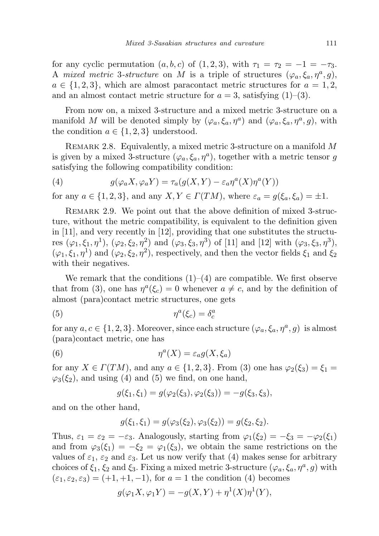for any cyclic permutation  $(a, b, c)$  of  $(1, 2, 3)$ , with  $\tau_1 = \tau_2 = -1 = -\tau_3$ . A mixed metric 3-structure on M is a triple of structures  $(\varphi_a, \xi_a, \eta^a, g)$ ,  $a \in \{1, 2, 3\}$ , which are almost paracontact metric structures for  $a = 1, 2$ , and an almost contact metric structure for  $a = 3$ , satisfying  $(1)$ – $(3)$ .

From now on, a mixed 3-structure and a mixed metric 3-structure on a manifold M will be denoted simply by  $(\varphi_a, \xi_a, \eta^a)$  and  $(\varphi_a, \xi_a, \eta^a, g)$ , with the condition  $a \in \{1, 2, 3\}$  understood.

REMARK 2.8. Equivalently, a mixed metric 3-structure on a manifold M is given by a mixed 3-structure  $(\varphi_a, \xi_a, \eta^a)$ , together with a metric tensor g satisfying the following compatibility condition:

(4) 
$$
g(\varphi_a X, \varphi_a Y) = \tau_a(g(X, Y) - \varepsilon_a \eta^a(X) \eta^a(Y))
$$

for any  $a \in \{1, 2, 3\}$ , and any  $X, Y \in \Gamma(TM)$ , where  $\varepsilon_a = g(\xi_a, \xi_a) = \pm 1$ .

Remark 2.9. We point out that the above definition of mixed 3-structure, without the metric compatibility, is equivalent to the definition given in [11], and very recently in [12], providing that one substitutes the structures  $(\varphi_1, \xi_1, \eta^1)$ ,  $(\varphi_2, \xi_2, \eta^2)$  and  $(\varphi_3, \xi_3, \eta^3)$  of [11] and [12] with  $(\varphi_3, \xi_3, \eta^3)$ ,  $(\varphi_1, \xi_1, \eta^1)$  and  $(\varphi_2, \xi_2, \eta^2)$ , respectively, and then the vector fields  $\xi_1$  and  $\xi_2$ with their negatives.

We remark that the conditions  $(1)$ – $(4)$  are compatible. We first observe that from (3), one has  $\eta^a(\xi_c) = 0$  whenever  $a \neq c$ , and by the definition of almost (para)contact metric structures, one gets

$$
(5) \t\t \eta^a(\xi_c) = \delta_c^a
$$

for any  $a, c \in \{1, 2, 3\}$ . Moreover, since each structure  $(\varphi_a, \xi_a, \eta^a, g)$  is almost (para)contact metric, one has

(6) 
$$
\eta^a(X) = \varepsilon_a g(X, \xi_a)
$$

for any  $X \in \Gamma(TM)$ , and any  $a \in \{1, 2, 3\}$ . From (3) one has  $\varphi_2(\xi_3) = \xi_1 =$  $\varphi_3(\xi_2)$ , and using (4) and (5) we find, on one hand,

$$
g(\xi_1, \xi_1) = g(\varphi_2(\xi_3), \varphi_2(\xi_3)) = -g(\xi_3, \xi_3),
$$

and on the other hand,

$$
g(\xi_1, \xi_1) = g(\varphi_3(\xi_2), \varphi_3(\xi_2)) = g(\xi_2, \xi_2).
$$

Thus,  $\varepsilon_1 = \varepsilon_2 = -\varepsilon_3$ . Analogously, starting from  $\varphi_1(\xi_2) = -\xi_3 = -\varphi_2(\xi_1)$ and from  $\varphi_3(\xi_1) = -\xi_2 = \varphi_1(\xi_3)$ , we obtain the same restrictions on the values of  $\varepsilon_1$ ,  $\varepsilon_2$  and  $\varepsilon_3$ . Let us now verify that (4) makes sense for arbitrary choices of  $\xi_1, \xi_2$  and  $\xi_3$ . Fixing a mixed metric 3-structure  $(\varphi_a, \xi_a, \eta^a, g)$  with  $(\varepsilon_1, \varepsilon_2, \varepsilon_3) = (+1, +1, -1)$ , for  $a = 1$  the condition (4) becomes

$$
g(\varphi_1 X, \varphi_1 Y) = -g(X, Y) + \eta^1(X)\eta^1(Y),
$$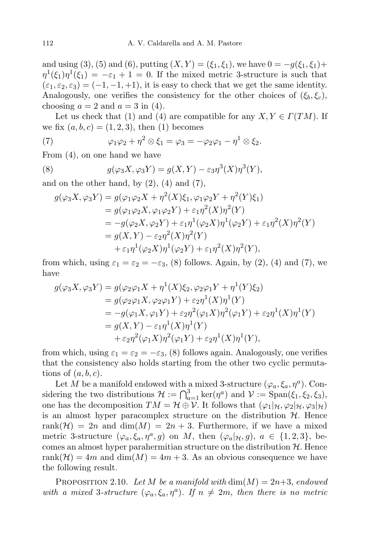and using (3), (5) and (6), putting  $(X, Y) = (\xi_1, \xi_1)$ , we have  $0 = -g(\xi_1, \xi_1) +$  $\eta^1(\xi_1)\eta^1(\xi_1) = -\varepsilon_1 + 1 = 0$ . If the mixed metric 3-structure is such that  $(\varepsilon_1, \varepsilon_2, \varepsilon_3) = (-1, -1, +1)$ , it is easy to check that we get the same identity. Analogously, one verifies the consistency for the other choices of  $(\xi_b, \xi_c)$ , choosing  $a = 2$  and  $a = 3$  in (4).

Let us check that (1) and (4) are compatible for any  $X, Y \in \Gamma(TM)$ . If we fix  $(a, b, c) = (1, 2, 3)$ , then  $(1)$  becomes

(7) 
$$
\varphi_1 \varphi_2 + \eta^2 \otimes \xi_1 = \varphi_3 = -\varphi_2 \varphi_1 - \eta^1 \otimes \xi_2.
$$

From (4), on one hand we have

(8) 
$$
g(\varphi_3 X, \varphi_3 Y) = g(X, Y) - \varepsilon_3 \eta^3(X) \eta^3(Y),
$$

and on the other hand, by  $(2)$ ,  $(4)$  and  $(7)$ ,

$$
g(\varphi_3 X, \varphi_3 Y) = g(\varphi_1 \varphi_2 X + \eta^2(X)\xi_1, \varphi_1 \varphi_2 Y + \eta^2(Y)\xi_1)
$$
  
\n
$$
= g(\varphi_1 \varphi_2 X, \varphi_1 \varphi_2 Y) + \varepsilon_1 \eta^2(X)\eta^2(Y)
$$
  
\n
$$
= -g(\varphi_2 X, \varphi_2 Y) + \varepsilon_1 \eta^1(\varphi_2 X)\eta^1(\varphi_2 Y) + \varepsilon_1 \eta^2(X)\eta^2(Y)
$$
  
\n
$$
= g(X, Y) - \varepsilon_2 \eta^2(X)\eta^2(Y)
$$
  
\n
$$
+ \varepsilon_1 \eta^1(\varphi_2 X)\eta^1(\varphi_2 Y) + \varepsilon_1 \eta^2(X)\eta^2(Y),
$$

from which, using  $\varepsilon_1 = \varepsilon_2 = -\varepsilon_3$ , (8) follows. Again, by (2), (4) and (7), we have

$$
g(\varphi_3 X, \varphi_3 Y) = g(\varphi_2 \varphi_1 X + \eta^1(X)\xi_2, \varphi_2 \varphi_1 Y + \eta^1(Y)\xi_2)
$$
  
=  $g(\varphi_2 \varphi_1 X, \varphi_2 \varphi_1 Y) + \varepsilon_2 \eta^1(X)\eta^1(Y)$   
=  $-g(\varphi_1 X, \varphi_1 Y) + \varepsilon_2 \eta^2(\varphi_1 X)\eta^2(\varphi_1 Y) + \varepsilon_2 \eta^1(X)\eta^1(Y)$   
=  $g(X, Y) - \varepsilon_1 \eta^1(X)\eta^1(Y)$   
+  $\varepsilon_2 \eta^2(\varphi_1 X)\eta^2(\varphi_1 Y) + \varepsilon_2 \eta^1(X)\eta^1(Y),$ 

from which, using  $\varepsilon_1 = \varepsilon_2 = -\varepsilon_3$ , (8) follows again. Analogously, one verifies that the consistency also holds starting from the other two cyclic permutations of  $(a, b, c)$ .

Let M be a manifold endowed with a mixed 3-structure  $(\varphi_a, \xi_a, \eta^a)$ . Considering the two distributions  $\mathcal{H} := \bigcap_{a=1}^{3} \ker(\eta^a)$  and  $\mathcal{V} := \text{Span}(\xi_1, \xi_2, \xi_3)$ , one has the decomposition  $TM = \mathcal{H} \oplus \mathcal{V}$ . It follows that  $(\varphi_1|_{\mathcal{H}}, \varphi_2|_{\mathcal{H}}, \varphi_3|_{\mathcal{H}})$ is an almost hyper paracomplex structure on the distribution  $H$ . Hence rank $(\mathcal{H}) = 2n$  and  $\dim(M) = 2n + 3$ . Furthermore, if we have a mixed metric 3-structure  $(\varphi_a, \xi_a, \eta^a, g)$  on M, then  $(\varphi_a | \mathcal{H}, g)$ ,  $a \in \{1, 2, 3\}$ , becomes an almost hyper parahermitian structure on the distribution  $H$ . Hence rank $(\mathcal{H}) = 4m$  and  $\dim(M) = 4m + 3$ . As an obvious consequence we have the following result.

PROPOSITION 2.10. Let M be a manifold with  $\dim(M) = 2n+3$ , endowed with a mixed 3-structure  $(\varphi_a, \xi_a, \eta^a)$ . If  $n \neq 2m$ , then there is no metric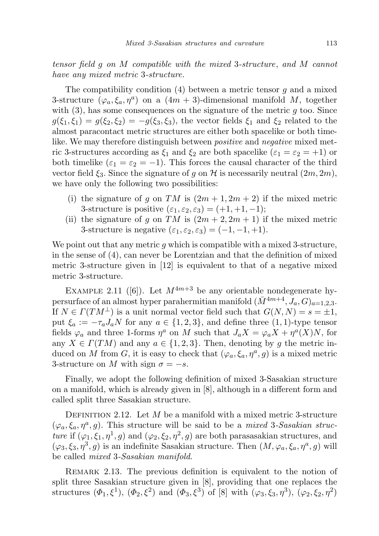tensor field g on M compatible with the mixed 3-structure, and M cannot have any mixed metric 3-structure.

The compatibility condition  $(4)$  between a metric tensor g and a mixed 3-structure  $(\varphi_a, \xi_a, \eta^a)$  on a  $(4m + 3)$ -dimensional manifold M, together with  $(3)$ , has some consequences on the signature of the metric g too. Since  $g(\xi_1,\xi_1)=g(\xi_2,\xi_2)=-g(\xi_3,\xi_3)$ , the vector fields  $\xi_1$  and  $\xi_2$  related to the almost paracontact metric structures are either both spacelike or both timelike. We may therefore distinguish between *positive* and *negative* mixed metric 3-structures according as  $\xi_1$  and  $\xi_2$  are both spacelike  $(\varepsilon_1 = \varepsilon_2 = +1)$  or both timelike  $(\varepsilon_1 = \varepsilon_2 = -1)$ . This forces the causal character of the third vector field  $\xi_3$ . Since the signature of g on H is necessarily neutral  $(2m, 2m)$ , we have only the following two possibilities:

- (i) the signature of g on TM is  $(2m+1, 2m+2)$  if the mixed metric 3-structure is positive  $(\varepsilon_1, \varepsilon_2, \varepsilon_3) = (+1, +1, -1);$
- (ii) the signature of g on TM is  $(2m + 2, 2m + 1)$  if the mixed metric 3-structure is negative  $(\varepsilon_1, \varepsilon_2, \varepsilon_3) = (-1, -1, +1).$

We point out that any metric  $q$  which is compatible with a mixed 3-structure, in the sense of (4), can never be Lorentzian and that the definition of mixed metric 3-structure given in [12] is equivalent to that of a negative mixed metric 3-structure.

EXAMPLE 2.11 ([6]). Let  $M^{4m+3}$  be any orientable nondegenerate hypersurface of an almost hyper parahermitian manifold  $(\bar{M}^{4m+4}, J_a, G)_{a=1,2,3}$ . If  $N \in \Gamma(TM^{\perp})$  is a unit normal vector field such that  $G(N, N) = s = \pm 1$ , put  $\xi_a := -\tau_a J_a N$  for any  $a \in \{1,2,3\}$ , and define three  $(1,1)$ -type tensor fields  $\varphi_a$  and three 1-forms  $\eta^a$  on M such that  $J_a X = \varphi_a X + \eta^a(X)N$ , for any  $X \in \Gamma(TM)$  and any  $a \in \{1, 2, 3\}$ . Then, denoting by g the metric induced on M from G, it is easy to check that  $(\varphi_a, \xi_a, \eta^a, g)$  is a mixed metric 3-structure on M with sign  $\sigma = -s$ .

Finally, we adopt the following definition of mixed 3-Sasakian structure on a manifold, which is already given in [8], although in a different form and called split three Sasakian structure.

DEFINITION 2.12. Let  $M$  be a manifold with a mixed metric 3-structure  $(\varphi_a, \xi_a, \eta^a, g)$ . This structure will be said to be a *mixed* 3-Sasakian structure if  $(\varphi_1, \xi_1, \eta^1, g)$  and  $(\varphi_2, \xi_2, \eta^2, g)$  are both parasasakian structures, and  $(\varphi_3, \xi_3, \eta^3, g)$  is an indefinite Sasakian structure. Then  $(M, \varphi_a, \xi_a, \eta^a, g)$  will be called mixed 3-Sasakian manifold.

REMARK 2.13. The previous definition is equivalent to the notion of split three Sasakian structure given in [8], providing that one replaces the structures  $(\Phi_1, \xi^1), (\Phi_2, \xi^2)$  and  $(\Phi_3, \xi^3)$  of [8] with  $(\varphi_3, \xi_3, \eta^3), (\varphi_2, \xi_2, \eta^2)$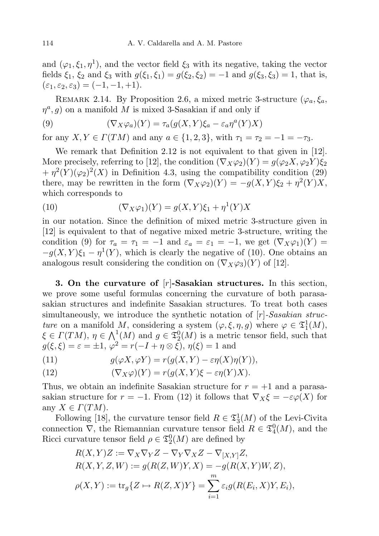and  $(\varphi_1, \xi_1, \eta^1)$ , and the vector field  $\xi_3$  with its negative, taking the vector fields  $\xi_1, \xi_2$  and  $\xi_3$  with  $g(\xi_1, \xi_1) = g(\xi_2, \xi_2) = -1$  and  $g(\xi_3, \xi_3) = 1$ , that is,  $(\varepsilon_1, \varepsilon_2, \varepsilon_3) = (-1, -1, +1).$ 

REMARK 2.14. By Proposition 2.6, a mixed metric 3-structure ( $\varphi_a, \xi_a$ ,  $\eta^a$ , g) on a manifold M is mixed 3-Sasakian if and only if

(9) 
$$
(\nabla_X \varphi_a)(Y) = \tau_a(g(X, Y)\xi_a - \varepsilon_a \eta^a(Y)X)
$$

for any  $X, Y \in \Gamma(TM)$  and any  $a \in \{1, 2, 3\}$ , with  $\tau_1 = \tau_2 = -1 = -\tau_3$ .

We remark that Definition 2.12 is not equivalent to that given in [12]. More precisely, referring to [12], the condition  $(\nabla_X \varphi_2)(Y) = g(\varphi_2 X, \varphi_2 Y) \xi_2$  $+\eta^2(Y)(\varphi_2)^2(X)$  in Definition 4.3, using the compatibility condition (29) there, may be rewritten in the form  $(\nabla_X \varphi_2)(Y) = -g(X, Y)\xi_2 + \eta^2(Y)X$ , which corresponds to

(10) 
$$
(\nabla_X \varphi_1)(Y) = g(X, Y)\xi_1 + \eta^1(Y)X
$$

in our notation. Since the definition of mixed metric 3-structure given in [12] is equivalent to that of negative mixed metric 3-structure, writing the condition (9) for  $\tau_a = \tau_1 = -1$  and  $\varepsilon_a = \varepsilon_1 = -1$ , we get  $(\nabla_X \varphi_1)(Y) =$  $-g(X,Y)\xi_1-\eta^1(Y)$ , which is clearly the negative of (10). One obtains an analogous result considering the condition on  $(\nabla_X \varphi_3)(Y)$  of [12].

3. On the curvature of  $[r]$ -Sasakian structures. In this section, we prove some useful formulas concerning the curvature of both parasasakian structures and indefinite Sasakian structures. To treat both cases simultaneously, we introduce the synthetic notation of  $[r]$ -Sasakian structure on a manifold M, considering a system  $(\varphi, \xi, \eta, g)$  where  $\varphi \in \mathfrak{I}_1^1(M)$ ,  $\xi \in \Gamma(TM)$ ,  $\eta \in \bigwedge^1(M)$  and  $g \in \overline{\mathfrak{I}_2^0(M)}$  is a metric tensor field, such that  $g(\xi, \xi) = \varepsilon = \pm 1, \, \varphi^2 = r(-I + \eta \otimes \xi), \, \eta(\xi) = 1$  and

(11) 
$$
g(\varphi X, \varphi Y) = r(g(X, Y) - \varepsilon \eta(X)\eta(Y)),
$$

(12) 
$$
(\nabla_X \varphi)(Y) = r(g(X, Y)\xi - \varepsilon \eta(Y)X).
$$

Thus, we obtain an indefinite Sasakian structure for  $r = +1$  and a parasasakian structure for  $r = -1$ . From (12) it follows that  $\nabla_X \xi = -\varepsilon \varphi(X)$  for any  $X \in \Gamma(TM)$ .

Following [18], the curvature tensor field  $R \in \mathfrak{I}_3^1(M)$  of the Levi-Civita connection  $\nabla$ , the Riemannian curvature tensor field  $R \in \mathfrak{T}_4^0(M)$ , and the Ricci curvature tensor field  $\rho \in \mathfrak{T}_2^0(M)$  are defined by

$$
R(X,Y)Z := \nabla_X \nabla_Y Z - \nabla_Y \nabla_X Z - \nabla_{[X,Y]} Z,
$$
  
\n
$$
R(X,Y,Z,W) := g(R(Z,W)Y,X) = -g(R(X,Y)W,Z),
$$
  
\n
$$
\rho(X,Y) := \text{tr}_g\{Z \mapsto R(Z,X)Y\} = \sum_{i=1}^m \varepsilon_i g(R(E_i,X)Y, E_i),
$$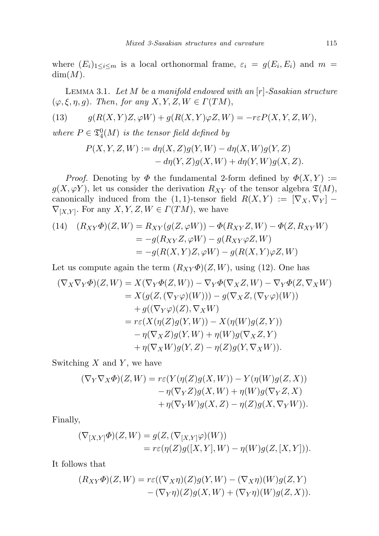where  $(E_i)_{1 \leq i \leq m}$  is a local orthonormal frame,  $\varepsilon_i = g(E_i, E_i)$  and  $m =$  $dim(M)$ .

LEMMA 3.1. Let  $M$  be a manifold endowed with an  $[r]$ -Sasakian structure  $(\varphi, \xi, \eta, g)$ . Then, for any  $X, Y, Z, W \in \Gamma(TM)$ ,

(13) 
$$
g(R(X,Y)Z,\varphi W) + g(R(X,Y)\varphi Z,W) = -r\varepsilon P(X,Y,Z,W),
$$

where  $P \in \mathfrak{T}_4^0(M)$  is the tensor field defined by

$$
P(X, Y, Z, W) := d\eta(X, Z)g(Y, W) - d\eta(X, W)g(Y, Z)
$$
  
- 
$$
d\eta(Y, Z)g(X, W) + d\eta(Y, W)g(X, Z).
$$

*Proof.* Denoting by  $\Phi$  the fundamental 2-form defined by  $\Phi(X, Y) :=$  $g(X, \varphi Y)$ , let us consider the derivation  $R_{XY}$  of the tensor algebra  $\mathfrak{T}(M)$ , canonically induced from the  $(1, 1)$ -tensor field  $R(X, Y) := [\nabla_X, \nabla_Y]$  –  $\nabla_{[X,Y]}$ . For any  $X, Y, Z, W \in \Gamma(TM)$ , we have

(14) 
$$
(R_{XY}\Phi)(Z,W) = R_{XY}(g(Z,\varphi W)) - \Phi(R_{XY}Z,W) - \Phi(Z,R_{XY}W)
$$

$$
= -g(R_{XY}Z,\varphi W) - g(R_{XY}\varphi Z,W)
$$

$$
= -g(R(X,Y)Z,\varphi W) - g(R(X,Y)\varphi Z,W)
$$

Let us compute again the term  $(R_{XY}\Phi)(Z,W)$ , using (12). One has

$$
(\nabla_X \nabla_Y \Phi)(Z, W) = X(\nabla_Y \Phi(Z, W)) - \nabla_Y \Phi(\nabla_X Z, W) - \nabla_Y \Phi(Z, \nabla_X W)
$$
  
\n
$$
= X(g(Z, (\nabla_Y \varphi)(W))) - g(\nabla_X Z, (\nabla_Y \varphi)(W))
$$
  
\n
$$
+ g((\nabla_Y \varphi)(Z), \nabla_X W)
$$
  
\n
$$
= r\varepsilon(X(\eta(Z)g(Y, W)) - X(\eta(W)g(Z, Y))
$$
  
\n
$$
- \eta(\nabla_X Z)g(Y, W) + \eta(W)g(\nabla_X Z, Y)
$$
  
\n
$$
+ \eta(\nabla_X W)g(Y, Z) - \eta(Z)g(Y, \nabla_X W)).
$$

Switching  $X$  and  $Y$ , we have

$$
(\nabla_Y \nabla_X \Phi)(Z, W) = r\varepsilon (Y(\eta(Z)g(X, W)) - Y(\eta(W)g(Z, X))
$$
  

$$
- \eta(\nabla_Y Z)g(X, W) + \eta(W)g(\nabla_Y Z, X)
$$
  

$$
+ \eta(\nabla_Y W)g(X, Z) - \eta(Z)g(X, \nabla_Y W)).
$$

Finally,

$$
(\nabla_{[X,Y]}\Phi)(Z,W) = g(Z, (\nabla_{[X,Y]}\varphi)(W))
$$
  
=  $r\varepsilon(\eta(Z)g([X,Y],W) - \eta(W)g(Z,[X,Y])).$ 

It follows that

$$
(R_{XY}\Phi)(Z,W) = r\varepsilon((\nabla_X \eta)(Z)g(Y,W) - (\nabla_X \eta)(W)g(Z,Y) - (\nabla_Y \eta)(Z)g(X,W) + (\nabla_Y \eta)(W)g(Z,X)).
$$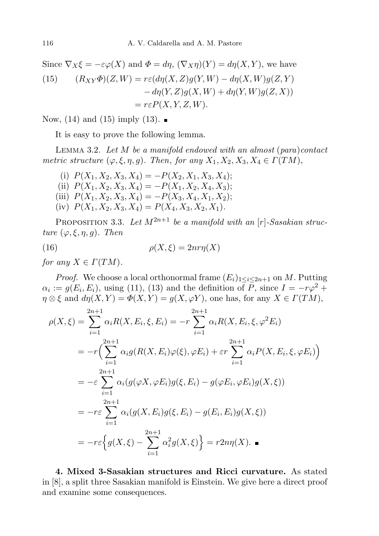Since  $\nabla_X \xi = -\varepsilon \varphi(X)$  and  $\Phi = d\eta$ ,  $(\nabla_X \eta)(Y) = d\eta(X, Y)$ , we have (15)  $(R_{XY}\Phi)(Z, W) = r\varepsilon (d\eta(X, Z)q(Y, W) - d\eta(X, W)q(Z, Y))$  $-d\eta(Y,Z)g(X,W) + d\eta(Y,W)g(Z,X)$  $= r \varepsilon P(X, Y, Z, W).$ 

Now, (14) and (15) imply (13).  $\blacksquare$ 

It is easy to prove the following lemma.

LEMMA 3.2. Let  $M$  be a manifold endowed with an almost (para)contact metric structure  $(\varphi, \xi, \eta, g)$ . Then, for any  $X_1, X_2, X_3, X_4 \in \Gamma(TM)$ ,

(i)  $P(X_1, X_2, X_3, X_4) = -P(X_2, X_1, X_3, X_4);$ (ii)  $P(X_1, X_2, X_3, X_4) = -P(X_1, X_2, X_4, X_3);$ (iii)  $P(X_1, X_2, X_3, X_4) = -P(X_3, X_4, X_1, X_2);$ (iv)  $P(X_1, X_2, X_3, X_4) = P(X_4, X_3, X_2, X_1).$ 

PROPOSITION 3.3. Let  $M^{2n+1}$  be a manifold with an [r]-Sasakian structure  $(\varphi, \xi, \eta, q)$ . Then

(16) 
$$
\rho(X,\xi) = 2nr\eta(X)
$$

for any  $X \in \Gamma(TM)$ .

*Proof.* We choose a local orthonormal frame  $(E_i)_{1 \leq i \leq 2n+1}$  on M. Putting  $\alpha_i := g(E_i, E_i)$ , using (11), (13) and the definition of P, since  $I = -r\varphi^2 +$  $\eta \otimes \xi$  and  $d\eta(X, Y) = \Phi(X, Y) = g(X, \varphi Y)$ , one has, for any  $X \in \Gamma(TM)$ ,

$$
\rho(X,\xi) = \sum_{i=1}^{2n+1} \alpha_i R(X, E_i, \xi, E_i) = -r \sum_{i=1}^{2n+1} \alpha_i R(X, E_i, \xi, \varphi^2 E_i)
$$
  
=  $-r \Big( \sum_{i=1}^{2n+1} \alpha_i g(R(X, E_i)\varphi(\xi), \varphi E_i) + \varepsilon r \sum_{i=1}^{2n+1} \alpha_i P(X, E_i, \xi, \varphi E_i) \Big)$   
=  $-\varepsilon \sum_{i=1}^{2n+1} \alpha_i (g(\varphi X, \varphi E_i) g(\xi, E_i) - g(\varphi E_i, \varphi E_i) g(X, \xi))$   
=  $-r\varepsilon \sum_{i=1}^{2n+1} \alpha_i (g(X, E_i) g(\xi, E_i) - g(E_i, E_i) g(X, \xi))$   
=  $-r\varepsilon \Big\{ g(X, \xi) - \sum_{i=1}^{2n+1} \alpha_i^2 g(X, \xi) \Big\} = r2n\eta(X).$ 

4. Mixed 3-Sasakian structures and Ricci curvature. As stated in [8], a split three Sasakian manifold is Einstein. We give here a direct proof and examine some consequences.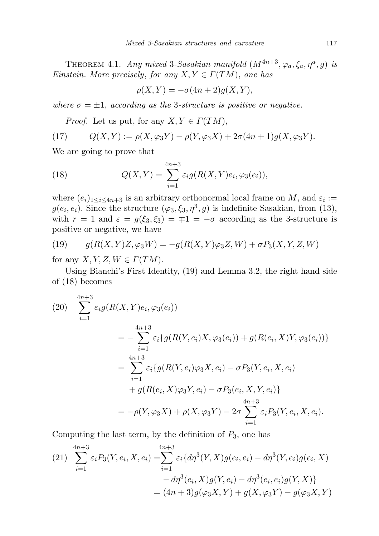THEOREM 4.1. Any mixed 3-Sasakian manifold  $(M^{4n+3}, \varphi_a, \xi_a, \eta^a, g)$  is Einstein. More precisely, for any  $X, Y \in \Gamma(TM)$ , one has

$$
\rho(X,Y) = -\sigma(4n+2)g(X,Y),
$$

where  $\sigma = \pm 1$ , according as the 3-structure is positive or negative.

*Proof.* Let us put, for any  $X, Y \in \Gamma(TM)$ ,

(17) 
$$
Q(X,Y) := \rho(X,\varphi_3 Y) - \rho(Y,\varphi_3 X) + 2\sigma(4n+1)g(X,\varphi_3 Y).
$$

We are going to prove that

(18) 
$$
Q(X,Y) = \sum_{i=1}^{4n+3} \varepsilon_i g(R(X,Y)e_i, \varphi_3(e_i)),
$$

where  $(e_i)_{1 \leq i \leq 4n+3}$  is an arbitrary orthonormal local frame on M, and  $\varepsilon_i :=$  $g(e_i, e_i)$ . Since the structure  $(\varphi_3, \xi_3, \eta^3, g)$  is indefinite Sasakian, from (13), with  $r = 1$  and  $\varepsilon = g(\xi_3, \xi_3) = \pm 1 = -\sigma$  according as the 3-structure is positive or negative, we have

(19) 
$$
g(R(X,Y)Z,\varphi_3 W) = -g(R(X,Y)\varphi_3 Z,W) + \sigma P_3(X,Y,Z,W)
$$

for any  $X, Y, Z, W \in \Gamma(TM)$ .

Using Bianchi's First Identity, (19) and Lemma 3.2, the right hand side of (18) becomes

(20) 
$$
\sum_{i=1}^{4n+3} \varepsilon_i g(R(X,Y)e_i, \varphi_3(e_i))
$$
  
\n
$$
= -\sum_{i=1}^{4n+3} \varepsilon_i \{g(R(Y,e_i)X, \varphi_3(e_i)) + g(R(e_i, X)Y, \varphi_3(e_i))\}
$$
  
\n
$$
= \sum_{i=1}^{4n+3} \varepsilon_i \{g(R(Y,e_i)\varphi_3X, e_i) - \sigma P_3(Y, e_i, X, e_i) + g(R(e_i, X)\varphi_3Y, e_i) - \sigma P_3(e_i, X, Y, e_i)\}
$$
  
\n
$$
= -\rho(Y, \varphi_3X) + \rho(X, \varphi_3Y) - 2\sigma \sum_{i=1}^{4n+3} \varepsilon_i P_3(Y, e_i, X, e_i).
$$

Computing the last term, by the definition of  $P_3$ , one has

(21) 
$$
\sum_{i=1}^{4n+3} \varepsilon_i P_3(Y, e_i, X, e_i) = \sum_{i=1}^{4n+3} \varepsilon_i \{ d\eta^3(Y, X) g(e_i, e_i) - d\eta^3(Y, e_i) g(e_i, X) - d\eta^3(e_i, X) g(Y, e_i) - d\eta^3(e_i, e_i) g(Y, X) \}
$$

$$
= (4n+3)g(\varphi_3 X, Y) + g(X, \varphi_3 Y) - g(\varphi_3 X, Y)
$$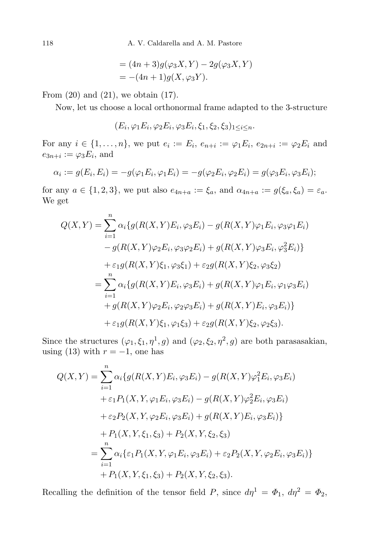= 
$$
(4n+3)g(\varphi_3 X, Y) - 2g(\varphi_3 X, Y)
$$
  
=  $-(4n+1)g(X, \varphi_3 Y)$ .

From  $(20)$  and  $(21)$ , we obtain  $(17)$ .

Now, let us choose a local orthonormal frame adapted to the 3-structure

 $(E_i, \varphi_1 E_i, \varphi_2 E_i, \varphi_3 E_i, \xi_1, \xi_2, \xi_3)_{1 \leq i \leq n}.$ 

For any  $i \in \{1, ..., n\}$ , we put  $e_i := E_i$ ,  $e_{n+i} := \varphi_1 E_i$ ,  $e_{2n+i} := \varphi_2 E_i$  and  $e_{3n+i} := \varphi_3 E_i$ , and

$$
\alpha_i := g(E_i, E_i) = -g(\varphi_1 E_i, \varphi_1 E_i) = -g(\varphi_2 E_i, \varphi_2 E_i) = g(\varphi_3 E_i, \varphi_3 E_i);
$$

for any  $a \in \{1,2,3\}$ , we put also  $e_{4n+a} := \xi_a$ , and  $\alpha_{4n+a} := g(\xi_a, \xi_a) = \varepsilon_a$ . We get

$$
Q(X,Y) = \sum_{i=1}^{n} \alpha_i \{ g(R(X,Y)E_i, \varphi_3 E_i) - g(R(X,Y)\varphi_1 E_i, \varphi_3 \varphi_1 E_i) - g(R(X,Y)\varphi_2 E_i, \varphi_3 \varphi_2 E_i) + g(R(X,Y)\varphi_3 E_i, \varphi_3^2 E_i) \} + \varepsilon_1 g(R(X,Y)\xi_1, \varphi_3 \xi_1) + \varepsilon_2 g(R(X,Y)\xi_2, \varphi_3 \xi_2) = \sum_{i=1}^{n} \alpha_i \{ g(R(X,Y)E_i, \varphi_3 E_i) + g(R(X,Y)\varphi_1 E_i, \varphi_1 \varphi_3 E_i) + g(R(X,Y)\varphi_2 E_i, \varphi_2 \varphi_3 E_i) + g(R(X,Y)E_i, \varphi_3 E_i) \} + \varepsilon_1 g(R(X,Y)\xi_1, \varphi_1 \xi_3) + \varepsilon_2 g(R(X,Y)\xi_2, \varphi_2 \xi_3).
$$

Since the structures  $(\varphi_1, \xi_1, \eta^1, g)$  and  $(\varphi_2, \xi_2, \eta^2, g)$  are both parasasakian, using (13) with  $r = -1$ , one has

$$
Q(X,Y) = \sum_{i=1}^{n} \alpha_i \{ g(R(X,Y)E_i, \varphi_3 E_i) - g(R(X,Y)\varphi_1^2 E_i, \varphi_3 E_i) + \varepsilon_1 P_1(X,Y,\varphi_1 E_i, \varphi_3 E_i) - g(R(X,Y)\varphi_2^2 E_i, \varphi_3 E_i) + \varepsilon_2 P_2(X,Y,\varphi_2 E_i, \varphi_3 E_i) + g(R(X,Y)E_i, \varphi_3 E_i) \} + P_1(X,Y,\xi_1,\xi_3) + P_2(X,Y,\xi_2,\xi_3) = \sum_{i=1}^{n} \alpha_i \{ \varepsilon_1 P_1(X,Y,\varphi_1 E_i, \varphi_3 E_i) + \varepsilon_2 P_2(X,Y,\varphi_2 E_i, \varphi_3 E_i) \} + P_1(X,Y,\xi_1,\xi_3) + P_2(X,Y,\xi_2,\xi_3).
$$

Recalling the definition of the tensor field P, since  $d\eta^1 = \Phi_1$ ,  $d\eta^2 = \Phi_2$ ,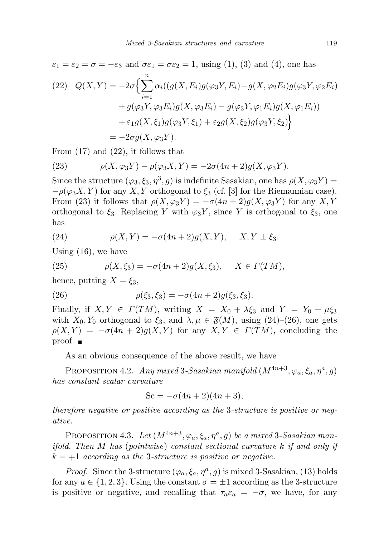$$
\varepsilon_1 = \varepsilon_2 = \sigma = -\varepsilon_3
$$
 and  $\sigma \varepsilon_1 = \sigma \varepsilon_2 = 1$ , using (1), (3) and (4), one has

(22) 
$$
Q(X,Y) = -2\sigma \Big\{ \sum_{i=1}^{n} \alpha_i ((g(X,E_i)g(\varphi_3 Y, E_i) - g(X, \varphi_2 E_i)g(\varphi_3 Y, \varphi_2 E_i) + g(\varphi_3 Y, \varphi_3 E_i)g(X, \varphi_3 E_i) - g(\varphi_3 Y, \varphi_1 E_i)g(X, \varphi_1 E_i)) + \varepsilon_1 g(X, \xi_1)g(\varphi_3 Y, \xi_1) + \varepsilon_2 g(X, \xi_2)g(\varphi_3 Y, \xi_2) \Big\}
$$
  
= 
$$
-2\sigma g(X, \varphi_3 Y).
$$

From (17) and (22), it follows that

(23) 
$$
\rho(X, \varphi_3 Y) - \rho(\varphi_3 X, Y) = -2\sigma(4n+2)g(X, \varphi_3 Y).
$$

Since the structure  $(\varphi_3, \xi_3, \eta^3, g)$  is indefinite Sasakian, one has  $\rho(X, \varphi_3 Y) =$  $-\rho(\varphi_3 X, Y)$  for any X, Y orthogonal to  $\xi_3$  (cf. [3] for the Riemannian case). From (23) it follows that  $\rho(X, \varphi_3 Y) = -\sigma(4n+2)g(X, \varphi_3 Y)$  for any X, Y orthogonal to  $\xi_3$ . Replacing Y with  $\varphi_3$ Y, since Y is orthogonal to  $\xi_3$ , one has

(24) 
$$
\rho(X,Y) = -\sigma(4n+2)g(X,Y), \quad X,Y \perp \xi_3.
$$

Using (16), we have

(25) 
$$
\rho(X,\xi_3) = -\sigma(4n+2)g(X,\xi_3), \quad X \in \Gamma(TM),
$$

hence, putting  $X = \xi_3$ ,

(26) 
$$
\rho(\xi_3, \xi_3) = -\sigma(4n+2)g(\xi_3, \xi_3).
$$

Finally, if  $X, Y \in \Gamma(TM)$ , writing  $X = X_0 + \lambda \xi_3$  and  $Y = Y_0 + \mu \xi_3$ with  $X_0, Y_0$  orthogonal to  $\xi_3$ , and  $\lambda, \mu \in \mathfrak{F}(M)$ , using  $(24)$ – $(26)$ , one gets  $\rho(X, Y) = -\sigma(4n+2)g(X, Y)$  for any  $X, Y \in \Gamma(TM)$ , concluding the proof. ■

As an obvious consequence of the above result, we have

PROPOSITION 4.2. Any mixed 3-Sasakian manifold  $(M^{4n+3}, \varphi_a, \xi_a, \eta^a, g)$ has constant scalar curvature

$$
Sc = -\sigma(4n+2)(4n+3),
$$

therefore negative or positive according as the 3-structure is positive or negative.

PROPOSITION 4.3. Let  $(M^{4n+3}, \varphi_a, \xi_a, \eta^a, g)$  be a mixed 3-Sasakian manifold. Then M has (pointwise) constant sectional curvature k if and only if  $k = \pm 1$  according as the 3-structure is positive or negative.

*Proof.* Since the 3-structure  $(\varphi_a, \xi_a, \eta^a, g)$  is mixed 3-Sasakian, (13) holds for any  $a \in \{1, 2, 3\}$ . Using the constant  $\sigma = \pm 1$  according as the 3-structure is positive or negative, and recalling that  $\tau_a \varepsilon_a = -\sigma$ , we have, for any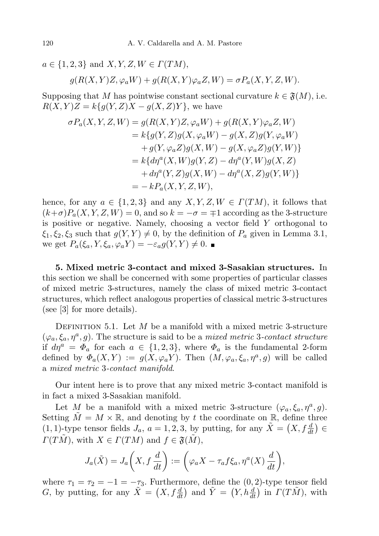$a \in \{1, 2, 3\}$  and  $X, Y, Z, W \in \Gamma(TM)$ ,  $g(R(X, Y)Z, \varphi_a W) + g(R(X, Y) \varphi_a Z, W) = \sigma P_a(X, Y, Z, W).$ 

Supposing that M has pointwise constant sectional curvature  $k \in \mathfrak{F}(M)$ , i.e.  $R(X, Y)Z = k\{g(Y, Z)X - g(X, Z)Y\}$ , we have

$$
\sigma P_a(X, Y, Z, W) = g(R(X, Y)Z, \varphi_a W) + g(R(X, Y)\varphi_a Z, W)
$$
  
\n
$$
= k\{g(Y, Z)g(X, \varphi_a W) - g(X, Z)g(Y, \varphi_a W)
$$
  
\n
$$
+ g(Y, \varphi_a Z)g(X, W) - g(X, \varphi_a Z)g(Y, W)
$$
  
\n
$$
= k\{d\eta^a(X, W)g(Y, Z) - d\eta^a(Y, W)g(X, Z)
$$
  
\n
$$
+ d\eta^a(Y, Z)g(X, W) - d\eta^a(X, Z)g(Y, W)
$$
  
\n
$$
= -kP_a(X, Y, Z, W),
$$

hence, for any  $a \in \{1,2,3\}$  and any  $X, Y, Z, W \in \Gamma(TM)$ , it follows that  $(k+\sigma)P_a(X, Y, Z, W) = 0$ , and so  $k = -\sigma = \pm 1$  according as the 3-structure is positive or negative. Namely, choosing a vector field Y orthogonal to  $\xi_1, \xi_2, \xi_3$  such that  $g(Y, Y) \neq 0$ , by the definition of  $P_a$  given in Lemma 3.1, we get  $P_a(\xi_a, Y, \xi_a, \varphi_a Y) = -\varepsilon_a g(Y, Y) \neq 0$ .

5. Mixed metric 3-contact and mixed 3-Sasakian structures. In this section we shall be concerned with some properties of particular classes of mixed metric 3-structures, namely the class of mixed metric 3-contact structures, which reflect analogous properties of classical metric 3-structures (see [3] for more details).

DEFINITION 5.1. Let M be a manifold with a mixed metric 3-structure  $(\varphi_a, \xi_a, \eta^a, g)$ . The structure is said to be a *mixed metric* 3-contact structure if  $d\eta^a = \Phi_a$  for each  $a \in \{1,2,3\}$ , where  $\Phi_a$  is the fundamental 2-form defined by  $\Phi_a(X,Y) := g(X, \varphi_a Y)$ . Then  $(M, \varphi_a, \xi_a, \eta^a, g)$  will be called a mixed metric 3-contact manifold.

Our intent here is to prove that any mixed metric 3-contact manifold is in fact a mixed 3-Sasakian manifold.

Let M be a manifold with a mixed metric 3-structure  $(\varphi_a, \xi_a, \eta^a, g)$ . Setting  $\tilde{M} = M \times \mathbb{R}$ , and denoting by t the coordinate on  $\mathbb{R}$ , define three  $(1, 1)$ -type tensor fields  $J_a$ ,  $a = 1, 2, 3$ , by putting, for any  $\tilde{X} = (X, f\frac{d}{dt}) \in$  $\Gamma(T\tilde{M})$ , with  $X \in \Gamma(TM)$  and  $f \in \mathfrak{F}(\tilde{M})$ ,

$$
J_a(\tilde{X}) = J_a\left(X, f\frac{d}{dt}\right) := \left(\varphi_a X - \tau_a f \xi_a, \eta^a(X) \frac{d}{dt}\right),
$$

where  $\tau_1 = \tau_2 = -1 = -\tau_3$ . Furthermore, define the  $(0, 2)$ -type tensor field G, by putting, for any  $\tilde{X} = (X, f\frac{d}{dt})$  and  $\tilde{Y} = (Y, h\frac{d}{dt})$  in  $\Gamma(T\tilde{M})$ , with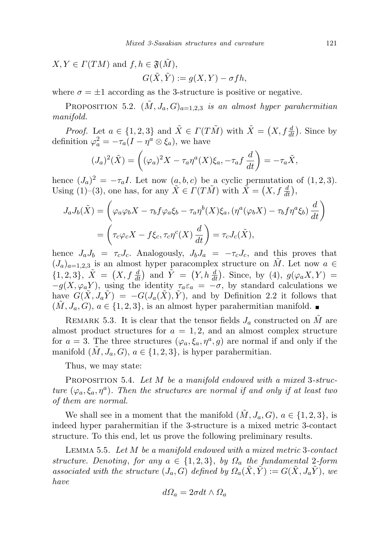$X, Y \in \Gamma(TM)$  and  $f, h \in \mathfrak{F}(\tilde{M}),$ 

$$
G(\tilde{X}, \tilde{Y}) := g(X, Y) - \sigma fh,
$$

where  $\sigma = \pm 1$  according as the 3-structure is positive or negative.

PROPOSITION 5.2.  $(\tilde{M}, J_a, G)_{a=1,2,3}$  is an almost hyper parahermitian manifold.

*Proof.* Let  $a \in \{1, 2, 3\}$  and  $\tilde{X} \in \Gamma(T\tilde{M})$  with  $\tilde{X} = (X, f\frac{d}{dt})$ . Since by definition  $\varphi_a^2 = -\tau_a (I - \eta^a \otimes \xi_a)$ , we have

$$
(J_a)^2(\tilde{X}) = \left( (\varphi_a)^2 X - \tau_a \eta^a(X) \xi_a, -\tau_a f \frac{d}{dt} \right) = -\tau_a \tilde{X},
$$

hence  $(J_a)^2 = -\tau_a I$ . Let now  $(a, b, c)$  be a cyclic permutation of  $(1, 2, 3)$ . Using (1)–(3), one has, for any  $\tilde{X} \in \Gamma(T\tilde{M})$  with  $\tilde{X} = (X, f\frac{d}{dt})$ ,

$$
J_a J_b(\tilde{X}) = \left(\varphi_a \varphi_b X - \tau_b f \varphi_a \xi_b - \tau_a \eta^b(X) \xi_a, (\eta^a(\varphi_b X) - \tau_b f \eta^a \xi_b) \frac{d}{dt}\right)
$$
  
= 
$$
\left(\tau_c \varphi_c X - f \xi_c, \tau_c \eta^c(X) \frac{d}{dt}\right) = \tau_c J_c(\tilde{X}),
$$

hence  $J_a J_b = \tau_c J_c$ . Analogously,  $J_b J_a = -\tau_c J_c$ , and this proves that  $(J_a)_{a=1,2,3}$  is an almost hyper paracomplex structure on M. Let now  $a \in$  ${1, 2, 3}, \tilde{X} = (X, f \frac{d}{dt})$  and  $\tilde{Y} = (Y, h \frac{d}{dt})$ . Since, by (4),  $g(\varphi_a X, Y) =$  $-g(X, \varphi_a Y)$ , using the identity  $\tau_a \varepsilon_a = -\sigma$ , by standard calculations we have  $G(\tilde{X}, J_a \tilde{Y}) = -G(J_a(\tilde{X}), \tilde{Y})$ , and by Definition 2.2 it follows that  $(\tilde{M}, J_a, G), a \in \{1, 2, 3\},$  is an almost hyper parahermitian manifold.

REMARK 5.3. It is clear that the tensor fields  $J_a$  constructed on  $\tilde{M}$  are almost product structures for  $a = 1, 2$ , and an almost complex structure for  $a = 3$ . The three structures  $(\varphi_a, \xi_a, \eta^a, g)$  are normal if and only if the manifold  $(\tilde{M}, J_a, G), a \in \{1, 2, 3\},$  is hyper parahermitian.

Thus, we may state:

PROPOSITION 5.4. Let M be a manifold endowed with a mixed 3-structure  $(\varphi_a, \xi_a, \eta^a)$ . Then the structures are normal if and only if at least two of them are normal.

We shall see in a moment that the manifold  $(\tilde{M}, J_a, G), a \in \{1, 2, 3\},\$ is indeed hyper parahermitian if the 3-structure is a mixed metric 3-contact structure. To this end, let us prove the following preliminary results.

Lemma 5.5. Let M be a manifold endowed with a mixed metric 3-contact structure. Denoting, for any  $a \in \{1, 2, 3\}$ , by  $\Omega_a$  the fundamental 2-form associated with the structure  $(J_a, G)$  defined by  $\Omega_a(\tilde{X}, \tilde{Y}) := G(\tilde{X}, J_a \tilde{Y})$ , we have

$$
d\Omega_a = 2\sigma dt \wedge \Omega_a
$$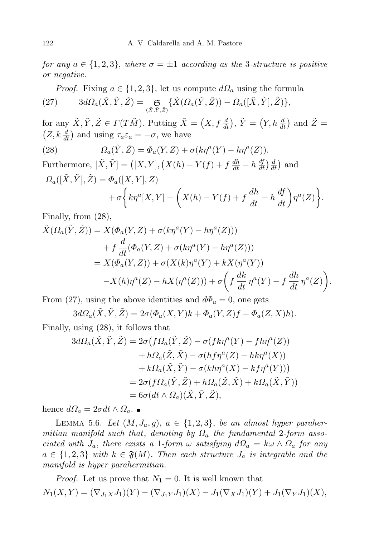for any  $a \in \{1, 2, 3\}$ , where  $\sigma = \pm 1$  according as the 3-structure is positive or negative.

*Proof.* Fixing  $a \in \{1, 2, 3\}$ , let us compute  $d\Omega_a$  using the formula  $(27) \qquad 3d\Omega_{a}(\tilde{X},\tilde{Y},\tilde{Z})=\mathop{\mathfrak{S}}\limits_{(\tilde{X},\tilde{Y},\tilde{Z})}\{\tilde{X}(\Omega_{a}(\tilde{Y},\tilde{Z}))-\Omega_{a}([\tilde{X},\tilde{Y}],\tilde{Z})\},$ 

for any  $\tilde{X}, \tilde{Y}, \tilde{Z} \in \Gamma(T\tilde{M})$ . Putting  $\tilde{X} = (X, f\frac{d}{dt})$ ,  $\tilde{Y} = (Y, h\frac{d}{dt})$  and  $\tilde{Z} =$  $(Z, k \frac{d}{dt})$  and using  $\tau_a \varepsilon_a = -\sigma$ , we have

(28) 
$$
\Omega_a(\tilde{Y}, \tilde{Z}) = \Phi_a(Y, Z) + \sigma(k\eta^a(Y) - h\eta^a(Z)).
$$

Furthermore,  $[\tilde{X}, \tilde{Y}] = ([X, Y], (X(h) - Y(f) + f \frac{dh}{dt} - h \frac{df}{dt}) \frac{d}{dt})$  and  $\Omega_a([\tilde{X}, \tilde{Y}], \tilde{Z}) = \Phi_a([X, Y], Z)$  $+\sigma\bigg\{k\eta^a[X,Y] - \bigg(X(h) - Y(f) + f\frac{dh}{dt} - h\frac{df}{dt}\bigg)\eta^a(Z)\bigg\}.$ 

Finally, from (28),

$$
\tilde{X}(\Omega_a(\tilde{Y}, \tilde{Z})) = X(\Phi_a(Y, Z) + \sigma(k\eta^a(Y) - h\eta^a(Z)))
$$
\n
$$
+ f \frac{d}{dt}(\Phi_a(Y, Z) + \sigma(k\eta^a(Y) - h\eta^a(Z)))
$$
\n
$$
= X(\Phi_a(Y, Z)) + \sigma(X(k)\eta^a(Y) + kX(\eta^a(Y))
$$
\n
$$
-X(h)\eta^a(Z) - hX(\eta^a(Z))) + \sigma\left(f\frac{dk}{dt}\eta^a(Y) - f\frac{dh}{dt}\eta^a(Z)\right).
$$

From (27), using the above identities and  $d\Phi_a = 0$ , one gets

 $3d\Omega_a(\tilde{X}, \tilde{Y}, \tilde{Z}) = 2\sigma(\Phi_a(X, Y)k + \Phi_a(Y, Z)f + \Phi_a(Z, X)h).$ 

Finally, using (28), it follows that

$$
3d\Omega_a(\tilde{X}, \tilde{Y}, \tilde{Z}) = 2\sigma\big(f\Omega_a(\tilde{Y}, \tilde{Z}) - \sigma(fk\eta^a(Y) - fh\eta^a(Z))
$$
  
+  $h\Omega_a(\tilde{Z}, \tilde{X}) - \sigma(hf\eta^a(Z) - hk\eta^a(X))$   
+  $k\Omega_a(\tilde{X}, \tilde{Y}) - \sigma(kh\eta^a(X) - kf\eta^a(Y))$ )  
=  $2\sigma(f\Omega_a(\tilde{Y}, \tilde{Z}) + h\Omega_a(\tilde{Z}, \tilde{X}) + k\Omega_a(\tilde{X}, \tilde{Y}))$   
=  $6\sigma(dt \wedge \Omega_a)(\tilde{X}, \tilde{Y}, \tilde{Z}),$ 

hence  $d\Omega_a = 2\sigma dt \wedge \Omega_a$ .

LEMMA 5.6. Let  $(M, J_a, g)$ ,  $a \in \{1, 2, 3\}$ , be an almost hyper parahermitian manifold such that, denoting by  $\Omega_a$  the fundamental 2-form associated with  $J_a$ , there exists a 1-form  $\omega$  satisfying  $d\Omega_a = k\omega \wedge \Omega_a$  for any  $a \in \{1,2,3\}$  with  $k \in \mathfrak{F}(M)$ . Then each structure  $J_a$  is integrable and the manifold is hyper parahermitian.

*Proof.* Let us prove that  $N_1 = 0$ . It is well known that  $N_1(X, Y) = (\nabla_{J_1 X} J_1)(Y) - (\nabla_{J_1 Y} J_1)(X) - J_1(\nabla_X J_1)(Y) + J_1(\nabla_Y J_1)(X),$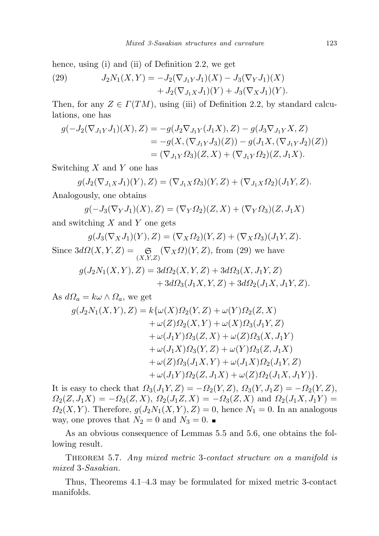hence, using (i) and (ii) of Definition 2.2, we get

(29) 
$$
J_2N_1(X,Y) = -J_2(\nabla_{J_1Y}J_1)(X) - J_3(\nabla_YJ_1)(X) + J_2(\nabla_{J_1X}J_1)(Y) + J_3(\nabla_XJ_1)(Y).
$$

Then, for any  $Z \in \Gamma(TM)$ , using (iii) of Definition 2.2, by standard calculations, one has

$$
g(-J_2(\nabla_{J_1Y}J_1)(X),Z) = -g(J_2\nabla_{J_1Y}(J_1X),Z) - g(J_3\nabla_{J_1Y}X,Z)
$$
  
=  $-g(X,(\nabla_{J_1Y}J_3)(Z)) - g(J_1X,(\nabla_{J_1Y}J_2)(Z))$   
=  $(\nabla_{J_1Y}\Omega_3)(Z,X) + (\nabla_{J_1Y}\Omega_2)(Z,J_1X).$ 

Switching  $X$  and  $Y$  one has

$$
g(J_2(\nabla_{J_1X}J_1)(Y),Z) = (\nabla_{J_1X}\Omega_3)(Y,Z) + (\nabla_{J_1X}\Omega_2)(J_1Y,Z).
$$

Analogously, one obtains

$$
g(-J_3(\nabla_Y J_1)(X), Z) = (\nabla_Y \Omega_2)(Z, X) + (\nabla_Y \Omega_3)(Z, J_1 X)
$$

and switching  $X$  and  $Y$  one gets

$$
g(J_3(\nabla_X J_1)(Y), Z) = (\nabla_X \Omega_2)(Y, Z) + (\nabla_X \Omega_3)(J_1 Y, Z).
$$
  
Since  $3d\Omega(X, Y, Z) = \mathop{\mathfrak{S}}_{(X, Y, Z)} (\nabla_X \Omega)(Y, Z)$ , from (29) we have  

$$
g(J_2 N_1(X, Y), Z) = 3d\Omega_2(X, Y, Z) + 3d\Omega_3(X, J_1 Y, Z) + 3d\Omega_3(J_1 X, Y, Z) + 3d\Omega_2(J_1 X, J_1 Y, Z).
$$

As  $d\Omega_a = k\omega \wedge \Omega_a$ , we get

$$
g(J_2N_1(X,Y),Z) = k\{\omega(X)\Omega_2(Y,Z) + \omega(Y)\Omega_2(Z,X) + \omega(Z)\Omega_2(X,Y) + \omega(X)\Omega_3(J_1Y,Z) + \omega(J_1Y)\Omega_3(Z,X) + \omega(Z)\Omega_3(X,J_1Y) + \omega(J_1X)\Omega_3(Y,Z) + \omega(Y)\Omega_3(Z,J_1X) + \omega(Z)\Omega_3(J_1X,Y) + \omega(J_1X)\Omega_2(J_1Y,Z) + \omega(J_1Y)\Omega_2(Z,J_1X) + \omega(Z)\Omega_2(J_1X,J_1Y) \}.
$$

It is easy to check that  $\Omega_3(J_1Y, Z) = -\Omega_2(Y, Z), \Omega_3(Y, J_1Z) = -\Omega_2(Y, Z),$  $\Omega_2(Z, J_1X) = -\Omega_3(Z, X), \ \Omega_2(J_1Z, X) = -\Omega_3(Z, X)$  and  $\Omega_2(J_1X, J_1Y) =$  $\Omega_2(X, Y)$ . Therefore,  $g(J_2N_1(X, Y), Z) = 0$ , hence  $N_1 = 0$ . In an analogous way, one proves that  $N_2 = 0$  and  $N_3 = 0$ .

As an obvious consequence of Lemmas 5.5 and 5.6, one obtains the following result.

THEOREM 5.7. Any mixed metric 3-contact structure on a manifold is mixed 3-Sasakian.

Thus, Theorems 4.1–4.3 may be formulated for mixed metric 3-contact manifolds.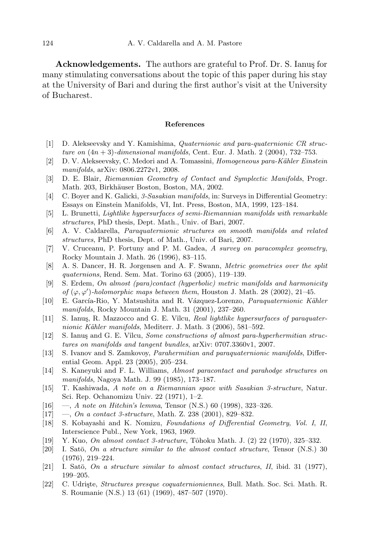Acknowledgements. The authors are grateful to Prof. Dr. S. Ianus for many stimulating conversations about the topic of this paper during his stay at the University of Bari and during the first author's visit at the University of Bucharest.

## References

- [1] D. Alekseevsky and Y. Kamishima, Quaternionic and para-quaternionic CR structure on  $(4n + 3)$ -dimensional manifolds, Cent. Eur. J. Math. 2 (2004), 732–753.
- [2] D. V. Alekseevsky, C. Medori and A. Tomassini, *Homogeneous para-Kähler Einstein* manifolds, arXiv: 0806.2272v1, 2008.
- [3] D. E. Blair, Riemannian Geometry of Contact and Symplectic Manifolds, Progr. Math. 203, Birkhäuser Boston, Boston, MA, 2002.
- [4] C. Boyer and K. Galicki, 3-Sasakian manifolds, in: Surveys in Differential Geometry: Essays on Einstein Manifolds, VI, Int. Press, Boston, MA, 1999, 123–184.
- [5] L. Brunetti, Lightlike hypersurfaces of semi-Riemannian manifolds with remarkable structures, PhD thesis, Dept. Math., Univ. of Bari, 2007.
- [6] A. V. Caldarella, Paraquaternionic structures on smooth manifolds and related structures, PhD thesis, Dept. of Math., Univ. of Bari, 2007.
- [7] V. Cruceanu, P. Fortuny and P. M. Gadea, A survey on paracomplex geometry, Rocky Mountain J. Math. 26 (1996), 83–115.
- [8] A. S. Dancer, H. R. Jorgensen and A. F. Swann, Metric geometries over the split quaternions, Rend. Sem. Mat. Torino 63 (2005), 119–139.
- [9] S. Erdem, On almost (para)contact (hyperbolic) metric manifolds and harmonicity of  $(\varphi, \varphi')$ -holomorphic maps between them, Houston J. Math. 28 (2002), 21–45.
- [10] E. García-Rio, Y. Matsushita and R. Vázquez-Lorenzo, *Paraquaternionic Kähler* manifolds, Rocky Mountain J. Math. 31 (2001), 237–260.
- [11] S. Ianus, R. Mazzocco and G. E. Vîlcu, Real lightlike hypersurfaces of paraquaternionic Kähler manifolds, Mediterr. J. Math. 3 (2006), 581–592.
- [12] S. Ianus and G. E. Vilcu, Some constructions of almost para-hyperhermitian structures on manifolds and tangent bundles, arXiv: 0707.3360v1, 2007.
- [13] S. Ivanov and S. Zamkovoy, Parahermitian and paraquaternionic manifolds, Differential Geom. Appl. 23 (2005), 205–234.
- [14] S. Kaneyuki and F. L. Williams, Almost paracontact and parahodge structures on manifolds, Nagoya Math. J. 99 (1985), 173–187.
- [15] T. Kashiwada, A note on a Riemannian space with Sasakian 3-structure, Natur. Sci. Rep. Ochanomizu Univ. 22 (1971), 1–2.
- [16] —, A note on Hitchin's lemma, Tensor (N.S.) 60 (1998), 323-326.
- $[17] \quad -$ , On a contact 3-structure, Math. Z. 238 (2001), 829–832.
- [18] S. Kobayashi and K. Nomizu, Foundations of Differential Geometry, Vol. I, II, Interscience Publ., New York, 1963, 1969.
- [19] Y. Kuo, *On almost contact 3-structure*, Tôhoku Math. J. (2) 22 (1970), 325–332.
- [20] I. Satō, On a structure similar to the almost contact structure, Tensor (N.S.) 30 (1976), 219–224.
- [21] I. Satō, On a structure similar to almost contact structures, II, ibid. 31 (1977), 199–205.
- [22] C. Udrişte, Structures presque coquaternioniennes, Bull. Math. Soc. Sci. Math. R. S. Roumanie (N.S.) 13 (61) (1969), 487–507 (1970).